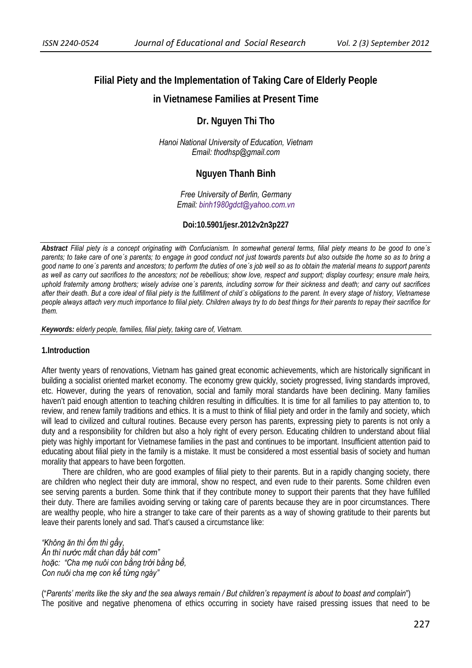# **Filial Piety and the Implementation of Taking Care of Elderly People**

## **in Vietnamese Families at Present Time**

## **Dr. Nguyen Thi Tho**

*Hanoi National University of Education, Vietnam Email: thodhsp@gmail.com* 

## **Nguyen Thanh Binh**

*Free University of Berlin, Germany Email: binh1980gdct@yahoo.com.vn*

### **Doi:10.5901/jesr.2012v2n3p227**

*Abstract Filial piety is a concept originating with Confucianism. In somewhat general terms, filial piety means to be good to one´s parents; to take care of one´s parents; to engage in good conduct not just towards parents but also outside the home so as to bring a good name to one´s parents and ancestors; to perform the duties of one´s job well so as to obtain the material means to support parents as well as carry out sacrifices to the ancestors; not be rebellious; show love, respect and support; display courtesy; ensure male heirs, uphold fraternity among brothers; wisely advise one´s parents, including sorrow for their sickness and death; and carry out sacrifices after their death. But a core ideal of filial piety is the fulfillment of child´s obligations to the parent. In every stage of history, Vietnamese people always attach very much importance to filial piety. Children always try to do best things for their parents to repay their sacrifice for them.* 

*Keywords: elderly people, families, filial piety, taking care of, Vietnam.* 

### **1.Introduction**

After twenty years of renovations, Vietnam has gained great economic achievements, which are historically significant in building a socialist oriented market economy. The economy grew quickly, society progressed, living standards improved, etc. However, during the years of renovation, social and family moral standards have been declining. Many families haven't paid enough attention to teaching children resulting in difficulties. It is time for all families to pay attention to, to review, and renew family traditions and ethics. It is a must to think of filial piety and order in the family and society, which will lead to civilized and cultural routines. Because every person has parents, expressing piety to parents is not only a duty and a responsibility for children but also a holy right of every person. Educating children to understand about filial piety was highly important for Vietnamese families in the past and continues to be important. Insufficient attention paid to educating about filial piety in the family is a mistake. It must be considered a most essential basis of society and human morality that appears to have been forgotten.

There are children, who are good examples of filial piety to their parents. But in a rapidly changing society, there are children who neglect their duty are immoral, show no respect, and even rude to their parents. Some children even see serving parents a burden. Some think that if they contribute money to support their parents that they have fulfilled their duty. There are families avoiding serving or taking care of parents because they are in poor circumstances. There are wealthy people, who hire a stranger to take care of their parents as a way of showing gratitude to their parents but leave their parents lonely and sad. That's caused a circumstance like:

*"Không ăn thì ốm thì gầy, Ăn thì nước mắt chan đầy bát cơm" hoặc: "Cha mẹ nuôi con bằng trời bằng bể, Con nuôi cha mẹ con kể từng ngày"* 

("*Parents' merits like the sky and the sea always remain / But children's repayment is about to boast and complain*") The positive and negative phenomena of ethics occurring in society have raised pressing issues that need to be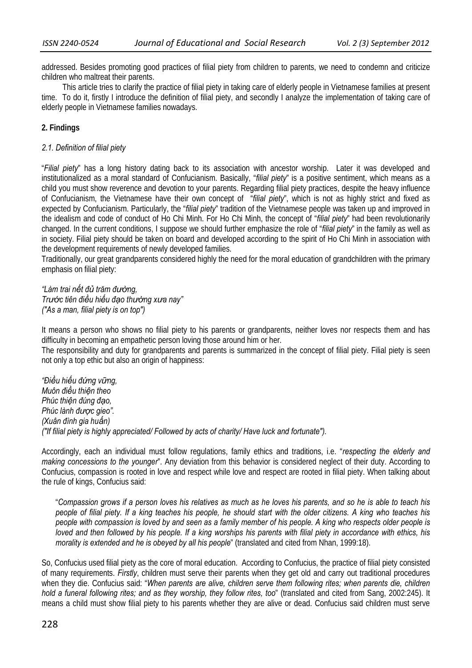addressed. Besides promoting good practices of filial piety from children to parents, we need to condemn and criticize children who maltreat their parents.

This article tries to clarify the practice of filial piety in taking care of elderly people in Vietnamese families at present time. To do it, firstly I introduce the definition of filial piety, and secondly I analyze the implementation of taking care of elderly people in Vietnamese families nowadays.

### **2. Findings**

### *2.1. Definition of filial piety*

"*Filial piety*" has a long history dating back to its association with ancestor worship. Later it was developed and institutionalized as a moral standard of Confucianism. Basically, "*filial piety*" is a positive sentiment, which means as a child you must show reverence and devotion to your parents. Regarding filial piety practices, despite the heavy influence of Confucianism, the Vietnamese have their own concept of "*filial piety*", which is not as highly strict and fixed as expected by Confucianism. Particularly, the "*filial piety*" tradition of the Vietnamese people was taken up and improved in the idealism and code of conduct of Ho Chi Minh. For Ho Chi Minh, the concept of "*filial piety*" had been revolutionarily changed. In the current conditions, I suppose we should further emphasize the role of "*filial piety*" in the family as well as in society. Filial piety should be taken on board and developed according to the spirit of Ho Chi Minh in association with the development requirements of newly developed families.

Traditionally, our great grandparents considered highly the need for the moral education of grandchildren with the primary emphasis on filial piety:

*"Làm trai nết đủ trăm đường, Trước tiên điều hiếu đạo thường xưa nay" ("As a man, filial piety is on top")* 

It means a person who shows no filial piety to his parents or grandparents, neither loves nor respects them and has difficulty in becoming an empathetic person loving those around him or her.

The responsibility and duty for grandparents and parents is summarized in the concept of filial piety. Filial piety is seen not only a top ethic but also an origin of happiness:

*"Điều hiếu đứng vững, Muôn điều thiện theo Phúc thiện đúng đạo, Phúc lành được gieo". (Xuân đình gia huấn) ("If filial piety is highly appreciated/ Followed by acts of charity/ Have luck and fortunate").* 

Accordingly, each an individual must follow regulations, family ethics and traditions, i.e. "*respecting the elderly and making concessions to the younger*". Any deviation from this behavior is considered neglect of their duty. According to Confucius, compassion is rooted in love and respect while love and respect are rooted in filial piety. When talking about the rule of kings, Confucius said:

"*Compassion grows if a person loves his relatives as much as he loves his parents, and so he is able to teach his people of filial piety. If a king teaches his people, he should start with the older citizens. A king who teaches his people with compassion is loved by and seen as a family member of his people. A king who respects older people is loved and then followed by his people. If a king worships his parents with filial piety in accordance with ethics, his morality is extended and he is obeyed by all his people*" (translated and cited from Nhan, 1999:18).

So, Confucius used filial piety as the core of moral education. According to Confucius, the practice of filial piety consisted of many requirements. *Firstly*, children must serve their parents when they get old and carry out traditional procedures when they die. Confucius said: "*When parents are alive, children serve them following rites; when parents die, children hold a funeral following rites; and as they worship, they follow rites, too*" (translated and cited from Sang, 2002:245). It means a child must show filial piety to his parents whether they are alive or dead. Confucius said children must serve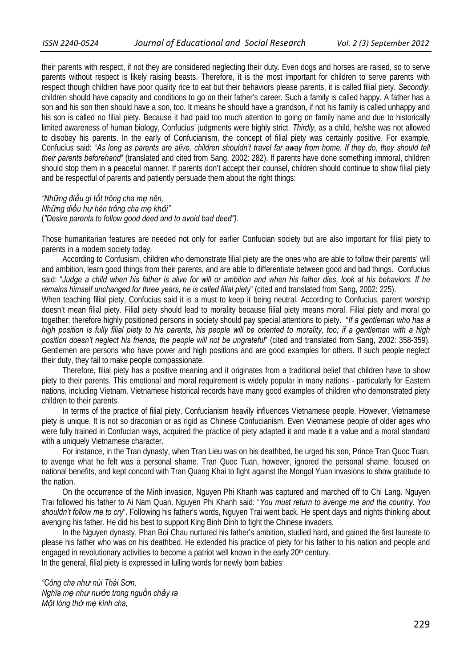their parents with respect, if not they are considered neglecting their duty. Even dogs and horses are raised, so to serve parents without respect is likely raising beasts. Therefore, it is the most important for children to serve parents with respect though children have poor quality rice to eat but their behaviors please parents, it is called filial piety. *Secondly*, children should have capacity and conditions to go on their father's career. Such a family is called happy. A father has a son and his son then should have a son, too. It means he should have a grandson, if not his family is called unhappy and his son is called no filial piety. Because it had paid too much attention to going on family name and due to historically limited awareness of human biology, Confucius' judgments were highly strict. *Thirdly*, as a child, he/she was not allowed to disobey his parents. In the early of Confucianism, the concept of filial piety was certainly positive. For example, Confucius said: "*As long as parents are alive, children shouldn't travel far away from home. If they do, they should tell their parents beforehand*" (translated and cited from Sang, 2002: 282). If parents have done something immoral, children should stop them in a peaceful manner. If parents don't accept their counsel, children should continue to show filial piety and be respectful of parents and patiently persuade them about the right things:

*"Những điều gì tốt trông cha mẹ nên, Những điều hư hèn trông cha mẹ khỏi"*  (*"Desire parents to follow good deed and to avoid bad deed").* 

Those humanitarian features are needed not only for earlier Confucian society but are also important for filial piety to parents in a modern society today.

According to Confusism, children who demonstrate filial piety are the ones who are able to follow their parents' will and ambition, learn good things from their parents, and are able to differentiate between good and bad things. Confucius said: "*Judge a child when his father is alive for will or ambition and when his father dies, look at his behaviors. If he remains himself unchanged for three years, he is called filial piety*" (cited and translated from Sang, 2002: 225).

When teaching filial piety, Confucius said it is a must to keep it being neutral. According to Confucius, parent worship doesn't mean filial piety. Filial piety should lead to morality because filial piety means moral. Filial piety and moral go together; therefore highly positioned persons in society should pay special attentions to piety. "*If a gentleman who has a high position is fully filial piety to his parents, his people will be oriented to morality, too; if a gentleman with a high position doesn't neglect his friends, the people will not be ungrateful*" (cited and translated from Sang, 2002: 358-359). Gentlemen are persons who have power and high positions and are good examples for others. If such people neglect their duty, they fail to make people compassionate.

Therefore, filial piety has a positive meaning and it originates from a traditional belief that children have to show piety to their parents. This emotional and moral requirement is widely popular in many nations - particularly for Eastern nations, including Vietnam. Vietnamese historical records have many good examples of children who demonstrated piety children to their parents.

In terms of the practice of filial piety, Confucianism heavily influences Vietnamese people. However, Vietnamese piety is unique. It is not so draconian or as rigid as Chinese Confucianism. Even Vietnamese people of older ages who were fully trained in Confucian ways, acquired the practice of piety adapted it and made it a value and a moral standard with a uniquely Vietnamese character.

For instance, in the Tran dynasty, when Tran Lieu was on his deathbed, he urged his son, Prince Tran Quoc Tuan, to avenge what he felt was a personal shame. Tran Quoc Tuan, however, ignored the personal shame, focused on national benefits, and kept concord with Tran Quang Khai to fight against the Mongol Yuan invasions to show gratitude to the nation.

On the occurrence of the Minh invasion, Nguyen Phi Khanh was captured and marched off to Chi Lang. Nguyen Trai followed his father to Ai Nam Quan. Nguyen Phi Khanh said: "*You must return to avenge me and the country. You shouldn't follow me to cry*". Following his father's words, Nguyen Trai went back. He spent days and nights thinking about avenging his father. He did his best to support King Binh Dinh to fight the Chinese invaders.

In the Nguyen dynasty, Phan Boi Chau nurtured his father's ambition, studied hard, and gained the first laureate to please his father who was on his deathbed. He extended his practice of piety for his father to his nation and people and engaged in revolutionary activities to become a patriot well known in the early 20<sup>th</sup> century. In the general, filial piety is expressed in lulling words for newly born babies:

*"Công cha như núi Thái Sơn, Nghĩa mẹ như nước trong nguồn chảy ra Một lòng thờ mẹ kính cha,*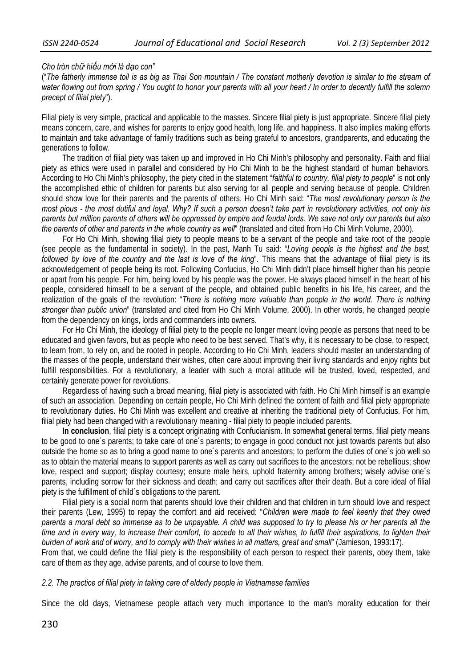#### *Cho tròn chữ hiếu mới là đạo con"*

("*The fatherly immense toil is as big as Thai Son mountain / The constant motherly devotion is similar to the stream of water flowing out from spring / You ought to honor your parents with all your heart / In order to decently fulfill the solemn precept of filial piety*").

Filial piety is very simple, practical and applicable to the masses. Sincere filial piety is just appropriate. Sincere filial piety means concern, care, and wishes for parents to enjoy good health, long life, and happiness. It also implies making efforts to maintain and take advantage of family traditions such as being grateful to ancestors, grandparents, and educating the generations to follow.

The tradition of filial piety was taken up and improved in Ho Chi Minh's philosophy and personality. Faith and filial piety as ethics were used in parallel and considered by Ho Chi Minh to be the highest standard of human behaviors. According to Ho Chi Minh's philosophy, the piety cited in the statement "*faithful to country, filial piety to people*" is not only the accomplished ethic of children for parents but also serving for all people and serving because of people. Children should show love for their parents and the parents of others. Ho Chi Minh said: "*The most revolutionary person is the most pious - the most dutiful and loyal. Why? If such a person doesn't take part in revolutionary activities, not only his parents but million parents of others will be oppressed by empire and feudal lords. We save not only our parents but also the parents of other and parents in the whole country as well*" (translated and cited from Ho Chi Minh Volume, 2000).

For Ho Chi Minh, showing filial piety to people means to be a servant of the people and take root of the people (see people as the fundamental in society). In the past, Manh Tu said: "*Loving people is the highest and the best, followed by love of the country and the last is love of the king*". This means that the advantage of filial piety is its acknowledgement of people being its root. Following Confucius, Ho Chi Minh didn't place himself higher than his people or apart from his people. For him, being loved by his people was the power. He always placed himself in the heart of his people, considered himself to be a servant of the people, and obtained public benefits in his life, his career, and the realization of the goals of the revolution: "*There is nothing more valuable than people in the world. There is nothing stronger than public union*" (translated and cited from Ho Chi Minh Volume, 2000). In other words, he changed people from the dependency on kings, lords and commanders into owners.

For Ho Chi Minh, the ideology of filial piety to the people no longer meant loving people as persons that need to be educated and given favors, but as people who need to be best served. That's why, it is necessary to be close, to respect, to learn from, to rely on, and be rooted in people. According to Ho Chi Minh, leaders should master an understanding of the masses of the people, understand their wishes, often care about improving their living standards and enjoy rights but fulfill responsibilities. For a revolutionary, a leader with such a moral attitude will be trusted, loved, respected, and certainly generate power for revolutions.

Regardless of having such a broad meaning, filial piety is associated with faith. Ho Chi Minh himself is an example of such an association. Depending on certain people, Ho Chi Minh defined the content of faith and filial piety appropriate to revolutionary duties. Ho Chi Minh was excellent and creative at inheriting the traditional piety of Confucius. For him, filial piety had been changed with a revolutionary meaning - filial piety to people included parents.

**In conclusion**, filial piety is a concept originating with Confucianism. In somewhat general terms, filial piety means to be good to one´s parents; to take care of one´s parents; to engage in good conduct not just towards parents but also outside the home so as to bring a good name to one´s parents and ancestors; to perform the duties of one´s job well so as to obtain the material means to support parents as well as carry out sacrifices to the ancestors; not be rebellious; show love, respect and support; display courtesy; ensure male heirs, uphold fraternity among brothers; wisely advise one´s parents, including sorrow for their sickness and death; and carry out sacrifices after their death. But a core ideal of filial piety is the fulfillment of child´s obligations to the parent.

Filial piety is a social norm that parents should love their children and that children in turn should love and respect their parents (Lew, 1995) to repay the comfort and aid received: "*Children were made to feel keenly that they owed parents a moral debt so immense as to be unpayable. A child was supposed to try to please his or her parents all the time and in every way, to increase their comfort, to accede to all their wishes, to fulfill their aspirations, to lighten their burden of work and of worry, and to comply with their wishes in all matters, great and small*" (Jamieson, 1993:17).

From that, we could define the filial piety is the responsibility of each person to respect their parents, obey them, take care of them as they age, advise parents, and of course to love them.

#### *2.2. The practice of filial piety in taking care of elderly people in Vietnamese families*

Since the old days, Vietnamese people attach very much importance to the man's morality education for their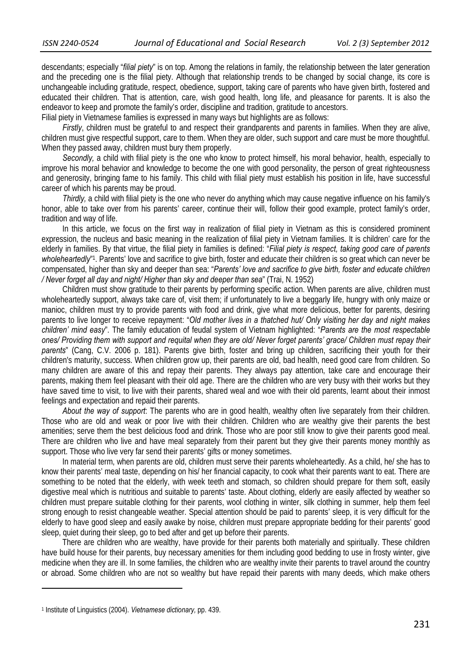descendants; especially "*filial piety*" is on top. Among the relations in family, the relationship between the later generation and the preceding one is the filial piety. Although that relationship trends to be changed by social change, its core is unchangeable including gratitude, respect, obedience, support, taking care of parents who have given birth, fostered and educated their children. That is attention, care, wish good health, long life, and pleasance for parents. It is also the endeavor to keep and promote the family's order, discipline and tradition, gratitude to ancestors.

Filial piety in Vietnamese families is expressed in many ways but highlights are as follows:

*Firstly*, children must be grateful to and respect their grandparents and parents in families. When they are alive, children must give respectful support, care to them. When they are older, such support and care must be more thoughtful. When they passed away, children must bury them properly.

*Secondly,* a child with filial piety is the one who know to protect himself, his moral behavior, health, especially to improve his moral behavior and knowledge to become the one with good personality, the person of great righteousness and generosity, bringing fame to his family. This child with filial piety must establish his position in life, have successful career of which his parents may be proud.

*Thirdly,* a child with filial piety is the one who never do anything which may cause negative influence on his family's honor, able to take over from his parents' career, continue their will, follow their good example, protect family's order, tradition and way of life.

In this article, we focus on the first way in realization of filial piety in Vietnam as this is considered prominent expression, the nucleus and basic meaning in the realization of filial piety in Vietnam families. It is children' care for the elderly in families. By that virtue, the filial piety in families is defined: "*Filial piety is respect, taking good care of parents*  wholeheartedly"<sup>1</sup>. Parents' love and sacrifice to give birth, foster and educate their children is so great which can never be compensated, higher than sky and deeper than sea: "*Parents' love and sacrifice to give birth, foster and educate children / Never forget all day and night/ Higher than sky and deeper than sea*" (Trai, N. 1952)

Children must show gratitude to their parents by performing specific action. When parents are alive, children must wholeheartedly support, always take care of, visit them; if unfortunately to live a beggarly life, hungry with only maize or manioc, children must try to provide parents with food and drink, give what more delicious, better for parents, desiring parents to live longer to receive repayment: "*Old mother lives in a thatched hut/ Only visiting her day and night makes children' mind easy*". The family education of feudal system of Vietnam highlighted: "*Parents are the most respectable ones/ Providing them with support and requital when they are old/ Never forget parents' grace/ Children must repay their parents*" (Cang, C.V. 2006 p. 181). Parents give birth, foster and bring up children, sacrificing their youth for their children's maturity, success. When children grow up, their parents are old, bad health, need good care from children. So many children are aware of this and repay their parents. They always pay attention, take care and encourage their parents, making them feel pleasant with their old age. There are the children who are very busy with their works but they have saved time to visit, to live with their parents, shared weal and woe with their old parents, learnt about their inmost feelings and expectation and repaid their parents.

*About the way of support*: The parents who are in good health, wealthy often live separately from their children. Those who are old and weak or poor live with their children. Children who are wealthy give their parents the best amenities; serve them the best delicious food and drink. Those who are poor still know to give their parents good meal. There are children who live and have meal separately from their parent but they give their parents money monthly as support. Those who live very far send their parents' gifts or money sometimes.

In material term, when parents are old, children must serve their parents wholeheartedly. As a child, he/ she has to know their parents' meal taste, depending on his/ her financial capacity, to cook what their parents want to eat. There are something to be noted that the elderly, with week teeth and stomach, so children should prepare for them soft, easily digestive meal which is nutritious and suitable to parents' taste. About clothing, elderly are easily affected by weather so children must prepare suitable clothing for their parents, wool clothing in winter, silk clothing in summer, help them feel strong enough to resist changeable weather. Special attention should be paid to parents' sleep, it is very difficult for the elderly to have good sleep and easily awake by noise, children must prepare appropriate bedding for their parents' good sleep, quiet during their sleep, go to bed after and get up before their parents.

There are children who are wealthy, have provide for their parents both materially and spiritually. These children have build house for their parents, buy necessary amenities for them including good bedding to use in frosty winter, give medicine when they are ill. In some families, the children who are wealthy invite their parents to travel around the country or abroad. Some children who are not so wealthy but have repaid their parents with many deeds, which make others

<u> 1989 - Johann Barn, mars eta inperiodo</u>

<sup>1</sup> Institute of Linguistics (2004). *Vietnamese dictionary,* pp. 439.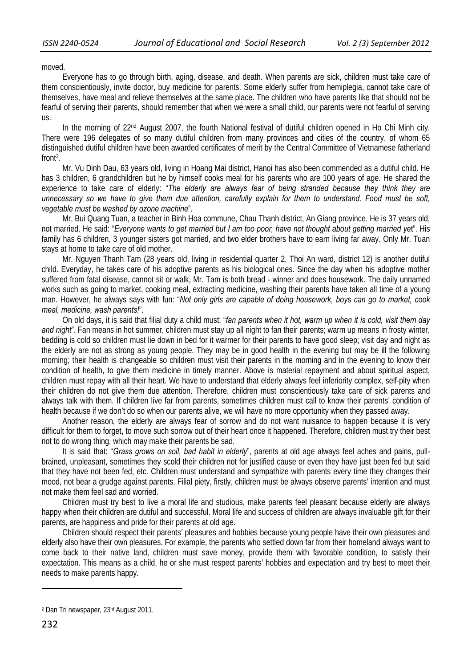moved.

Everyone has to go through birth, aging, disease, and death. When parents are sick, children must take care of them conscientiously, invite doctor, buy medicine for parents. Some elderly suffer from hemiplegia, cannot take care of themselves, have meal and relieve themselves at the same place. The children who have parents like that should not be fearful of serving their parents, should remember that when we were a small child, our parents were not fearful of serving us.

In the morning of 22<sup>nd</sup> August 2007, the fourth National festival of dutiful children opened in Ho Chi Minh city. There were 196 delegates of so many dutiful children from many provinces and cities of the country, of whom 65 distinguished dutiful children have been awarded certificates of merit by the Central Committee of Vietnamese fatherland front2.

Mr. Vu Dinh Dau, 63 years old, living in Hoang Mai district, Hanoi has also been commended as a dutiful child. He has 3 children, 6 grandchildren but he by himself cooks meal for his parents who are 100 years of age. He shared the experience to take care of elderly: "*The elderly are always fear of being stranded because they think they are unnecessary so we have to give them due attention, carefully explain for them to understand. Food must be soft, vegetable must be washed by ozone machine*".

Mr. Bui Quang Tuan, a teacher in Binh Hoa commune, Chau Thanh district, An Giang province. He is 37 years old, not married. He said: "*Everyone wants to get married but I am too poor, have not thought about getting married ye*t". His family has 6 children, 3 younger sisters got married, and two elder brothers have to earn living far away. Only Mr. Tuan stays at home to take care of old mother.

Mr. Nguyen Thanh Tam (28 years old, living in residential quarter 2, Thoi An ward, district 12) is another dutiful child. Everyday, he takes care of his adoptive parents as his biological ones. Since the day when his adoptive mother suffered from fatal disease, cannot sit or walk, Mr. Tam is both bread - winner and does housework. The daily unnamed works such as going to market, cooking meal, extracting medicine, washing their parents have taken all time of a young man. However, he always says with fun: "*Not only girls are capable of doing housework, boys can go to market, cook meal, medicine, wash parents!*".

On old days, it is said that filial duty a child must: "*fan parents when it hot, warm up when it is cold, visit them day and night*". Fan means in hot summer, children must stay up all night to fan their parents; warm up means in frosty winter, bedding is cold so children must lie down in bed for it warmer for their parents to have good sleep; visit day and night as the elderly are not as strong as young people. They may be in good health in the evening but may be ill the following morning; their health is changeable so children must visit their parents in the morning and in the evening to know their condition of health, to give them medicine in timely manner. Above is material repayment and about spiritual aspect, children must repay with all their heart. We have to understand that elderly always feel inferiority complex, self-pity when their children do not give them due attention. Therefore, children must conscientiously take care of sick parents and always talk with them. If children live far from parents, sometimes children must call to know their parents' condition of health because if we don't do so when our parents alive, we will have no more opportunity when they passed away.

Another reason, the elderly are always fear of sorrow and do not want nuisance to happen because it is very difficult for them to forget, to move such sorrow out of their heart once it happened. Therefore, children must try their best not to do wrong thing, which may make their parents be sad.

It is said that: "*Grass grows on soil, bad habit in elderly*", parents at old age always feel aches and pains, pullbrained, unpleasant, sometimes they scold their children not for justified cause or even they have just been fed but said that they have not been fed, etc. Children must understand and sympathize with parents every time they changes their mood, not bear a grudge against parents. Filial piety, firstly, children must be always observe parents' intention and must not make them feel sad and worried.

Children must try best to live a moral life and studious, make parents feel pleasant because elderly are always happy when their children are dutiful and successful. Moral life and success of children are always invaluable gift for their parents, are happiness and pride for their parents at old age.

Children should respect their parents' pleasures and hobbies because young people have their own pleasures and elderly also have their own pleasures. For example, the parents who settled down far from their homeland always want to come back to their native land, children must save money, provide them with favorable condition, to satisfy their expectation. This means as a child, he or she must respect parents' hobbies and expectation and try best to meet their needs to make parents happy.

<u> 1989 - Johann Barn, mars eta inperiodo</u>

<sup>2</sup> Dan Tri newspaper, 23rd August 2011.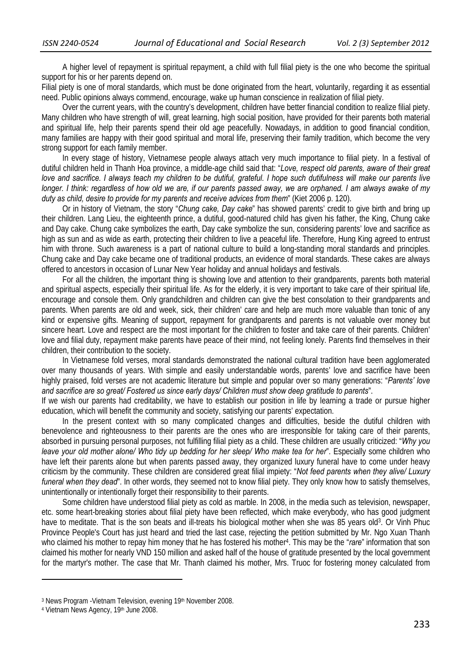A higher level of repayment is spiritual repayment, a child with full filial piety is the one who become the spiritual support for his or her parents depend on.

Filial piety is one of moral standards, which must be done originated from the heart, voluntarily, regarding it as essential need. Public opinions always commend, encourage, wake up human conscience in realization of filial piety.

Over the current years, with the country's development, children have better financial condition to realize filial piety. Many children who have strength of will, great learning, high social position, have provided for their parents both material and spiritual life, help their parents spend their old age peacefully. Nowadays, in addition to good financial condition, many families are happy with their good spiritual and moral life, preserving their family tradition, which become the very strong support for each family member.

In every stage of history, Vietnamese people always attach very much importance to filial piety. In a festival of dutiful children held in Thanh Hoa province, a middle-age child said that: "*Love, respect old parents, aware of their great love and sacrifice. I always teach my children to be dutiful, grateful. I hope such dutifulness will make our parents live longer. I think: regardless of how old we are, if our parents passed away, we are orphaned. I am always awake of my duty as child, desire to provide for my parents and receive advices from them*" (Kiet 2006 p. 120).

Or in history of Vietnam, the story "*Chung cake, Day cake*" has showed parents' credit to give birth and bring up their children. Lang Lieu, the eighteenth prince, a dutiful, good-natured child has given his father, the King, Chung cake and Day cake. Chung cake symbolizes the earth, Day cake symbolize the sun, considering parents' love and sacrifice as high as sun and as wide as earth, protecting their children to live a peaceful life. Therefore, Hung King agreed to entrust him with throne. Such awareness is a part of national culture to build a long-standing moral standards and principles. Chung cake and Day cake became one of traditional products, an evidence of moral standards. These cakes are always offered to ancestors in occasion of Lunar New Year holiday and annual holidays and festivals.

For all the children, the important thing is showing love and attention to their grandparents, parents both material and spiritual aspects, especially their spiritual life. As for the elderly, it is very important to take care of their spiritual life, encourage and console them. Only grandchildren and children can give the best consolation to their grandparents and parents. When parents are old and week, sick, their children' care and help are much more valuable than tonic of any kind or expensive gifts. Meaning of support, repayment for grandparents and parents is not valuable over money but sincere heart. Love and respect are the most important for the children to foster and take care of their parents. Children' love and filial duty, repayment make parents have peace of their mind, not feeling lonely. Parents find themselves in their children, their contribution to the society.

In Vietnamese fold verses, moral standards demonstrated the national cultural tradition have been agglomerated over many thousands of years. With simple and easily understandable words, parents' love and sacrifice have been highly praised, fold verses are not academic literature but simple and popular over so many generations: "*Parents' love and sacrifice are so great/ Fostered us since early days/ Children must show deep gratitude to parents*".

If we wish our parents had creditability, we have to establish our position in life by learning a trade or pursue higher education, which will benefit the community and society, satisfying our parents' expectation.

In the present context with so many complicated changes and difficulties, beside the dutiful children with benevolence and righteousness to their parents are the ones who are irresponsible for taking care of their parents, absorbed in pursuing personal purposes, not fulfilling filial piety as a child. These children are usually criticized: "*Why you leave your old mother alone/ Who tidy up bedding for her sleep/ Who make tea for her*". Especially some children who have left their parents alone but when parents passed away, they organized luxury funeral have to come under heavy criticism by the community. These children are considered great filial impiety: "*Not feed parents when they alive/ Luxury funeral when they dead*". In other words, they seemed not to know filial piety. They only know how to satisfy themselves, unintentionally or intentionally forget their responsibility to their parents.

Some children have understood filial piety as cold as marble. In 2008, in the media such as television, newspaper, etc. some heart-breaking stories about filial piety have been reflected, which make everybody, who has good judgment have to meditate. That is the son beats and ill-treats his biological mother when she was 85 years old3. Or Vinh Phuc Province People's Court has just heard and tried the last case, rejecting the petition submitted by Mr. Ngo Xuan Thanh who claimed his mother to repay him money that he has fostered his mother4. This may be the "*rare*" information that son claimed his mother for nearly VND 150 million and asked half of the house of gratitude presented by the local government for the martyr's mother. The case that Mr. Thanh claimed his mother, Mrs. Truoc for fostering money calculated from

<sup>&</sup>lt;sup>3</sup> News Program -Vietnam Television, evening 19<sup>th</sup> November 2008.<br><sup>4</sup> Vietnam News Agency, 19<sup>th</sup> June 2008.